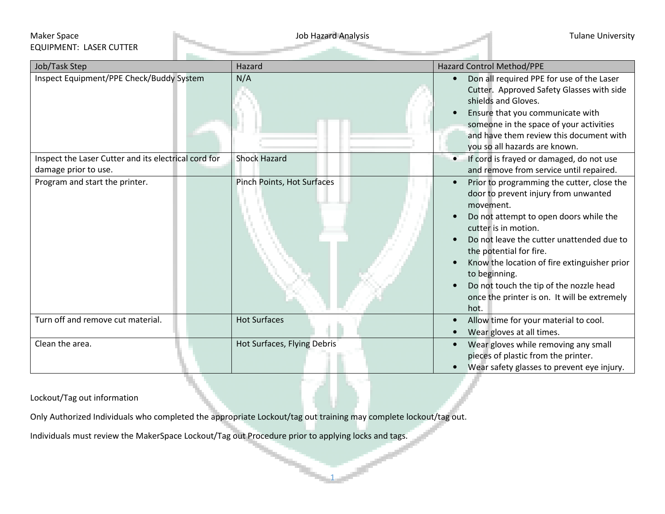## Maker Space **The Contract of the Contract Analysis** Job Hazard Analysis **Tulane University** and Tulane University EQUIPMENT: LASER CUTTER

| Job/Task Step                                                                | Hazard                      | <b>Hazard Control Method/PPE</b>                                                                                                                                                                                                                                                                                                                                                                                           |
|------------------------------------------------------------------------------|-----------------------------|----------------------------------------------------------------------------------------------------------------------------------------------------------------------------------------------------------------------------------------------------------------------------------------------------------------------------------------------------------------------------------------------------------------------------|
| Inspect Equipment/PPE Check/Buddy System                                     | N/A                         | Don all required PPE for use of the Laser<br>Cutter. Approved Safety Glasses with side<br>shields and Gloves.<br>Ensure that you communicate with<br>someone in the space of your activities<br>and have them review this document with<br>you so all hazards are known.                                                                                                                                                   |
| Inspect the Laser Cutter and its electrical cord for<br>damage prior to use. | <b>Shock Hazard</b>         | If cord is frayed or damaged, do not use<br>$\bullet$<br>and remove from service until repaired.                                                                                                                                                                                                                                                                                                                           |
| Program and start the printer.                                               | Pinch Points, Hot Surfaces  | Prior to programming the cutter, close the<br>$\bullet$<br>door to prevent injury from unwanted<br>movement.<br>Do not attempt to open doors while the<br>cutter is in motion.<br>Do not leave the cutter unattended due to<br>the potential for fire.<br>Know the location of fire extinguisher prior<br>to beginning.<br>Do not touch the tip of the nozzle head<br>once the printer is on. It will be extremely<br>hot. |
| Turn off and remove cut material.                                            | <b>Hot Surfaces</b>         | Allow time for your material to cool.<br>$\bullet$<br>Wear gloves at all times.                                                                                                                                                                                                                                                                                                                                            |
| Clean the area.                                                              | Hot Surfaces, Flying Debris | Wear gloves while removing any small<br>pieces of plastic from the printer.<br>Wear safety glasses to prevent eye injury.                                                                                                                                                                                                                                                                                                  |

1

Lockout/Tag out information

Only Authorized Individuals who completed the appropriate Lockout/tag out training may complete lockout/tag out.

Individuals must review the MakerSpace Lockout/Tag out Procedure prior to applying locks and tags.